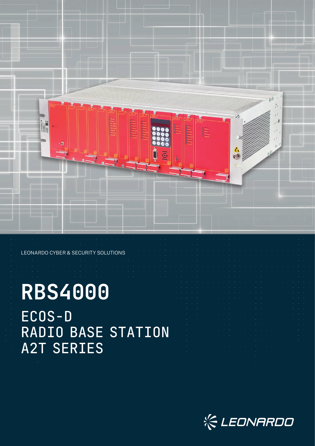

### LEONARDO CYBER & SECURITY SOLUTIONS

# **RBS4000** ECOS-D RADIO BASE STATION A2T SERIES

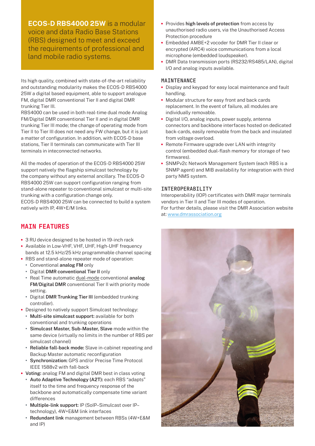**ECOS-D RBS4000 25W** is a modular voice and data Radio Base Stations (RBS) designed to meet and exceed the requirements of professional and land mobile radio systems.

Its high quality, combined with state-of-the-art reliability and outstanding modularity makes the ECOS-D RBS4000 25W a digital based equipment, able to support analogue FM, digital DMR conventional Tier II and digital DMR trunking Tier III.

RBS4000 can be used in both real-time dual mode Analog FM/Digital DMR conventional Tier II and in digital DMR trunking Tier III mode; the change of operating mode from Tier II to Tier III does not need any FW change, but it is just a matter of configuration. In addition, with ECOS-D base stations, Tier II terminals can communicate with Tier III terminals in inteconnected networks.

All the modes of operation of the ECOS-D RBS4000 25W support natively the flagship simulcast technology by the company without any external ancillary. The ECOS-D RBS4000 25W can support configuration ranging from stand-alone repeater to conventional simulcast or multi-site trunking with a configuration change only.

ECOS-D RBS4000 25W can be connected to build a system natively with IP, 4W+E/M links.

## MAIN FEATURES

- **•** 3 RU device designed to be hosted in 19-inch rack
- **•** Available in Low-VHF, VHF, UHF, High-UHF frequency bands at 12.5 kHz/25 kHz programmable channel spacing
- **•** RBS and stand-alone repeater mode of operation:
	- **•** Conventional **analog FM** only
	- **•** Digital **DMR conventional Tier II** only **•** Real Time automatic dual-mode conventional **analog FM/Digital DMR** conventional Tier II with priority mode
	- setting. **•** Digital **DMR Trunking Tier III** (embedded trunking controller).
- **•** Designed to natively support Simulcast technology:
	- **• Multi-site simulcast support:** available for both conventional and trunking operations
	- **• Simulcast Master, Sub-Master, Slave** mode within the same device (virtually no limits in the number of RBS per simulcast channel)
	- **• Reliable fall-back mode:** Slave in-cabinet repeating and Backup Master automatic reconfiguration
	- **• Synchronization:** GPS and/or Precise Time Protocol IEEE 1588v2 with fall-back
- **• Voting:** analog FM and digital DMR best in class voting
	- **• Auto Adaptive Technology (A2T):** each RBS "adapts" itself to the time and frequency response of the backbone and automatically compensate time variant differences
	- **• Multiple-link support:** IP (SoIP–Simulcast over IP– technology), 4W+E&M link interfaces
	- **• Redundant link** management between RBSs (4W+E&M and IP)
- **•** Provides **high levels of protection** from access by unauthorised radio users, via the Unauthorised Access Protection procedure
- **•** Embedded AMBE+2 vocoder for DMR Tier II clear or encrypted (ARC4) voice communications from a local microphone (embedded loudspeaker).
- **•** DMR Data transmission ports (RS232/RS485/LAN), digital I/O and analog inputs available.

## MAINTENANCE

- **•** Display and keypad for easy local maintenance and fault handling.
- **•** Modular structure for easy front and back cards replacement. In the event of failure, all modules are individually removable.
- **•** Digital I/O, analog inputs, power supply, antenna connectors and backbone interfaces hosted on dedicated back-cards, easily removable from the back and insulated from voltage overload.
- **•** Remote Firmware upgrade over LAN with integrity control (embedded dual-flash memory for storage of two firmwares).
- **•** SNMPv2c Network Management System (each RBS is a SNMP agent) and MIB availability for integration with third party NMS system.

## INTEROPERABILITY

Interoperability (IOP) certificates with DMR major terminals vendors in Tier II and Tier III modes of operation. For further details, please visit the DMR Association website at: www.dmrassociation.org

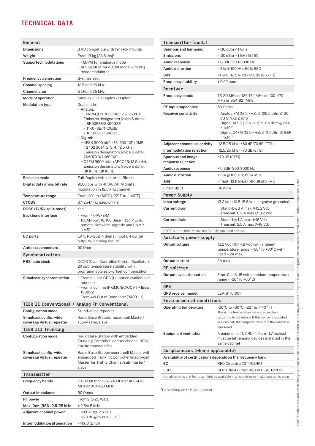## TECHNICAL DATA

| General                                             |                                                                                                                                                                                                                                                                                                                                                                                                                                 |
|-----------------------------------------------------|---------------------------------------------------------------------------------------------------------------------------------------------------------------------------------------------------------------------------------------------------------------------------------------------------------------------------------------------------------------------------------------------------------------------------------|
| <b>Dimensions</b>                                   | 3 RU compatible with 19" rack mounts                                                                                                                                                                                                                                                                                                                                                                                            |
| Weight                                              | From 13 kg [28.6 lbs] <sup>1</sup>                                                                                                                                                                                                                                                                                                                                                                                              |
| <b>Supported modulations</b>                        | · FM/PM for analogue mode<br>· 4FSK/C4FM for digital mode with I&Q<br>mo/demodulator                                                                                                                                                                                                                                                                                                                                            |
| <b>Frequency generation</b>                         | Synthesized                                                                                                                                                                                                                                                                                                                                                                                                                     |
| Channel spacing                                     | 12.5 and 25 kHz                                                                                                                                                                                                                                                                                                                                                                                                                 |
| Channel step                                        | 5 kHz-6.25 kHz                                                                                                                                                                                                                                                                                                                                                                                                                  |
| Mode of operation                                   | Simplex / Half-Duplex / Duplex                                                                                                                                                                                                                                                                                                                                                                                                  |
| <b>Modulation type</b>                              | Dual mode:<br>• Analog:<br>- FM/PM (EN 300 086; 12.5, 25 kHz).<br>Emission designators (voice & data):<br>> 8K50F3E/8K50G3E<br>> 11K0F3E/11K0G3E<br>> 16K0F3E/16K0G3E<br>• Digital:<br>- 4FSK 9600 bit/s (EN 300 113) (DMR:<br>TS 102 361-1, 2, 3, 4, 12.5 kHz).<br>Emission designators (voice & data);<br>7K60FXD/7K60FXE<br>- C4FM 9600 bit/s (APCO25; 12.5 kHz).<br>Emission designators (voice & data);<br>8K10F1D/8K10F1E |
| <b>Emission mode</b>                                | Full-Duplex (with external filters)                                                                                                                                                                                                                                                                                                                                                                                             |
| Digital data gross bit rate                         | 9600 bps with 4FSK/C4FM digital<br>modulation in 12.5 kHz channel                                                                                                                                                                                                                                                                                                                                                               |
| Temperature range                                   | From-30° to +60°C [-22°F to +140°F]                                                                                                                                                                                                                                                                                                                                                                                             |
| <b>CTCSS</b>                                        | 67-254.1 Hz (step 0,1 Hz)                                                                                                                                                                                                                                                                                                                                                                                                       |
| DCSS (Tx/Rx split-tones)                            | Yes                                                                                                                                                                                                                                                                                                                                                                                                                             |
| Backbone interface                                  | · From 4x4W+E/M<br>• 1xLAN port 10/100 Base T (SoIP Link,<br>remote firmware upgrade and SNMP<br>NMS)                                                                                                                                                                                                                                                                                                                           |
| I/O ports                                           | LAN, RS-232, 4 digital inputs, 4 digital<br>outputs, 2 analog inputs                                                                                                                                                                                                                                                                                                                                                            |
| Antenna connectors                                  | 50 Ohm                                                                                                                                                                                                                                                                                                                                                                                                                          |
| Synchronization                                     |                                                                                                                                                                                                                                                                                                                                                                                                                                 |
| RBS main clock                                      | OCXO (Oven Controlled Crystal Oscillator),<br>20 ppb temperature stability with<br>programmable zero-offset compensation                                                                                                                                                                                                                                                                                                        |
| Simulcast synchronization                           | · From built-in GPS (1+1 option available on<br>reauest)<br>· From incoming IP GMC/BC/OC PTP IEEE<br>1588V2<br>· From 4W Out of Band tone (3400 Hz)                                                                                                                                                                                                                                                                             |
|                                                     | TIER II Conventional / Analog FM Conventional                                                                                                                                                                                                                                                                                                                                                                                   |
| <b>Configuration mode</b>                           | Stand-alone repeater                                                                                                                                                                                                                                                                                                                                                                                                            |
| Simulcast config. wide<br>coverage Virtual repeater | Radio Base Station: macro-cell Master/<br>sub-Master/slave                                                                                                                                                                                                                                                                                                                                                                      |
| TIER III Trunking                                   |                                                                                                                                                                                                                                                                                                                                                                                                                                 |
| <b>Configuration mode</b>                           | Radio Base Station with embedded<br>Trunking Controller: control channel RBS/<br>Traffic channel RBS                                                                                                                                                                                                                                                                                                                            |
| Simulcast config. wide<br>coverage Virtual repeater | Radio Base Station macro-cell Master with<br>embedded Trunking Controller/macro-cell<br>Master for Traffic Channel/sub-master/<br>slave                                                                                                                                                                                                                                                                                         |
| Transmitter                                         |                                                                                                                                                                                                                                                                                                                                                                                                                                 |
| <b>Frequency bands</b>                              | 73-80 MHz or 136-174 MHz or 400-470<br>MHz or 854-921 MHz                                                                                                                                                                                                                                                                                                                                                                       |
| Output impedance                                    | 50 Ohms                                                                                                                                                                                                                                                                                                                                                                                                                         |
| <b>RF</b> power                                     | From 2 to 25 Watt                                                                                                                                                                                                                                                                                                                                                                                                               |
| Max. Dev. (RSD 12.5/25 kHz                          | ± 2.5/± 5 kHz                                                                                                                                                                                                                                                                                                                                                                                                                   |
| Adjacent channel power                              | · <-60 dB@12.5 kHz<br>· <- 70 dB@25 kHz (ETSI)                                                                                                                                                                                                                                                                                                                                                                                  |
| Intermodulation attenuation                         | >40dB (ETSI)                                                                                                                                                                                                                                                                                                                                                                                                                    |

| Transmitter (cont.)                                                                          |                                                                                                                                                                                                        |  |
|----------------------------------------------------------------------------------------------|--------------------------------------------------------------------------------------------------------------------------------------------------------------------------------------------------------|--|
| <b>Spurious and harmonic</b>                                                                 | <-36 dBm < 1 GHz                                                                                                                                                                                       |  |
| <b>Emissions</b>                                                                             | <-30 dBm > 1 GHz (ETSI)                                                                                                                                                                                |  |
| Audio response                                                                               | +1, -3dB; 300-3000 Hz                                                                                                                                                                                  |  |
| <b>Audio distortion</b>                                                                      | < 3% @ 1000Hz; 60% RSD                                                                                                                                                                                 |  |
| S/N                                                                                          | >45dB (12.5 kHz) / >50dB (25 kHz)                                                                                                                                                                      |  |
| Frequency stability                                                                          | $± 0.02$ ppm                                                                                                                                                                                           |  |
| Receiver                                                                                     |                                                                                                                                                                                                        |  |
| <b>Frequency bands</b>                                                                       | 73-80 MHz or 136-174 MHz or 400-470<br>MHz or 854-921 MHz                                                                                                                                              |  |
| RF input impedance                                                                           | 50 Ohms                                                                                                                                                                                                |  |
| Receiver sensitivity                                                                         | • Analog FM (12.5 kHz): ≤-109,5 dBm @ 20<br>dB SINAD psofo<br>• Digital 4FSK (12.5 kHz): ≤-115 dBm @ BER<br>$= 1 \times 10^{-2}$<br>• Digital C4FM (12.5 kHz): ≤-115 dBm @ BER<br>$= 1 \times 10^{-2}$ |  |
| Adjacent channel selectivity                                                                 | (12.5/25 kHz) >60 dB/70 dB (ETSI)                                                                                                                                                                      |  |
| Intermodulation rejection                                                                    | (12.5/25 kHz) >70 dB (ETSI)                                                                                                                                                                            |  |
| Spurious and image<br>response rejection                                                     | >70 dB (ETSI)                                                                                                                                                                                          |  |
| Audio response                                                                               | +1, -3dB; 300-3000 Hz                                                                                                                                                                                  |  |
| Audio distortion                                                                             | < 3% @ 1000Hz; 60% RSD                                                                                                                                                                                 |  |
| S/N                                                                                          | >45dB (12.5 kHz) / >50dB (25 kHz)                                                                                                                                                                      |  |
| Line output                                                                                  | $-10$ dBm                                                                                                                                                                                              |  |
| Power Supply                                                                                 |                                                                                                                                                                                                        |  |
| Input voltage                                                                                | 13.2 Vdc (10.8-15.6 Vdc - negative grounded)                                                                                                                                                           |  |
| Current drain                                                                                | ∙ Stand-by: 3 A max @13.2 Vdc<br>· Transmit: 8.5 A max @13.2 Vdc                                                                                                                                       |  |
| Current drain                                                                                | ∙ Stand-by: 1 A max @48 Vdc<br>· Transmit: 2.5 A max @48 Vdc                                                                                                                                           |  |
| NOTE: current drain values are for fully equipped devices.                                   |                                                                                                                                                                                                        |  |
| Auxiliary power supply                                                                       |                                                                                                                                                                                                        |  |
| Output voltage                                                                               | 13.2 Vdc (10-14.8 Vdc with ambient<br>temperature range = $-30^{\circ}$ to $+60^{\circ}$ C with<br>$lload = 2A max$                                                                                    |  |
| Output current                                                                               | 2A max                                                                                                                                                                                                 |  |
| RF splitter                                                                                  |                                                                                                                                                                                                        |  |
| Output level attenuation                                                                     | From 0 to 3 dB (with ambient temperature<br>range = $-30^\circ$ to $+60^\circ$ C)                                                                                                                      |  |
| <b>GPS</b>                                                                                   |                                                                                                                                                                                                        |  |
| <b>GPS receiver model</b>                                                                    | LEA-6T-0-001                                                                                                                                                                                           |  |
| <b>Environmental conditions</b>                                                              |                                                                                                                                                                                                        |  |
| <b>Operating temperature</b>                                                                 | -30°C to +60°C [-22° to +140 °F]                                                                                                                                                                       |  |
|                                                                                              | This is the temperature measured in close<br>proximity to the device. If the device is mounted<br>in a cabinet, the temperature within the cabinet is<br>measured                                      |  |
| <b>Equipment ventilation</b>                                                                 | A minimum of 1/2 RU (4,4 cm -1,7 inches)<br>must be left among devices installed in the<br>same cabinet                                                                                                |  |
| Compliancies (where applicable)                                                              |                                                                                                                                                                                                        |  |
| Availability of certifications depends on the frequency band                                 |                                                                                                                                                                                                        |  |
| EC                                                                                           | RED Directive 2014/53/EU                                                                                                                                                                               |  |
| FCC                                                                                          | CFR Title 47-Part 90, Part 15B, Part 22                                                                                                                                                                |  |
| Not all variants and features might be available in all countries or in all geographic areas |                                                                                                                                                                                                        |  |
|                                                                                              |                                                                                                                                                                                                        |  |

1 Depending on RBS equipment